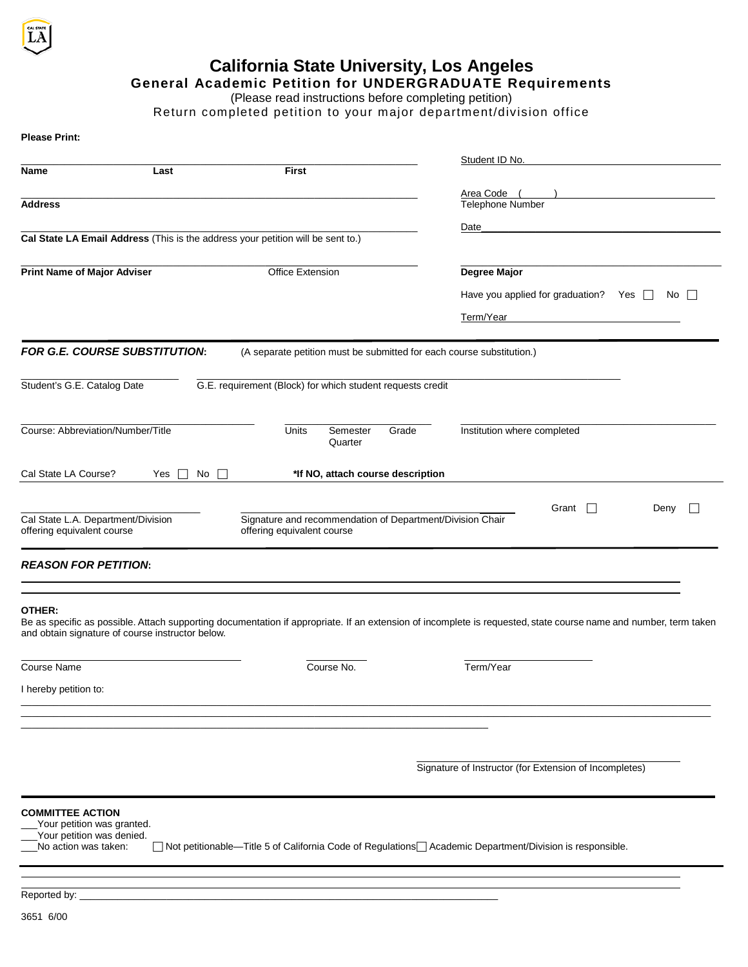

## **California State University, Los Angeles**

## **General Academic Petition for UNDERGRADUATE Requirements**

(Please read instructions before completing petition)

Return completed petition to your major department/division office

| Student ID No.<br>First<br>Name<br>Last<br>Area Code<br>Telephone Number<br><b>Address</b><br>Date<br>Cal State LA Email Address (This is the address your petition will be sent to.)<br><b>Print Name of Major Adviser</b><br>Office Extension<br>Degree Major<br>Have you applied for graduation? Yes $\Box$<br>No II<br>Term/Year<br>FOR G.E. COURSE SUBSTITUTION:<br>(A separate petition must be submitted for each course substitution.)<br>G.E. requirement (Block) for which student requests credit<br>Student's G.E. Catalog Date<br>Course: Abbreviation/Number/Title<br>Units<br>Institution where completed<br>Semester<br>Grade<br>Quarter<br>Cal State LA Course?<br>*If NO, attach course description<br>No<br>Yes<br>Grant<br>Deny<br>$\perp$<br>Signature and recommendation of Department/Division Chair<br>Cal State L.A. Department/Division<br>offering equivalent course<br>offering equivalent course<br><b>REASON FOR PETITION:</b><br>OTHER:<br>Be as specific as possible. Attach supporting documentation if appropriate. If an extension of incomplete is requested, state course name and number, term taken<br>and obtain signature of course instructor below.<br>Term/Year<br><b>Course Name</b><br>Course No.<br>I hereby petition to:<br>Signature of Instructor (for Extension of Incompletes)<br><b>COMMITTEE ACTION</b><br>Your petition was granted.<br>Your petition was denied.<br>No action was taken:<br>Mot petitionable—Title 5 of California Code of Regulations⊟ Academic Department/Division is responsible. | <b>Please Print:</b> |  |  |  |
|--------------------------------------------------------------------------------------------------------------------------------------------------------------------------------------------------------------------------------------------------------------------------------------------------------------------------------------------------------------------------------------------------------------------------------------------------------------------------------------------------------------------------------------------------------------------------------------------------------------------------------------------------------------------------------------------------------------------------------------------------------------------------------------------------------------------------------------------------------------------------------------------------------------------------------------------------------------------------------------------------------------------------------------------------------------------------------------------------------------------------------------------------------------------------------------------------------------------------------------------------------------------------------------------------------------------------------------------------------------------------------------------------------------------------------------------------------------------------------------------------------------------------------------------------------------|----------------------|--|--|--|
|                                                                                                                                                                                                                                                                                                                                                                                                                                                                                                                                                                                                                                                                                                                                                                                                                                                                                                                                                                                                                                                                                                                                                                                                                                                                                                                                                                                                                                                                                                                                                              |                      |  |  |  |
|                                                                                                                                                                                                                                                                                                                                                                                                                                                                                                                                                                                                                                                                                                                                                                                                                                                                                                                                                                                                                                                                                                                                                                                                                                                                                                                                                                                                                                                                                                                                                              |                      |  |  |  |
|                                                                                                                                                                                                                                                                                                                                                                                                                                                                                                                                                                                                                                                                                                                                                                                                                                                                                                                                                                                                                                                                                                                                                                                                                                                                                                                                                                                                                                                                                                                                                              |                      |  |  |  |
|                                                                                                                                                                                                                                                                                                                                                                                                                                                                                                                                                                                                                                                                                                                                                                                                                                                                                                                                                                                                                                                                                                                                                                                                                                                                                                                                                                                                                                                                                                                                                              |                      |  |  |  |
|                                                                                                                                                                                                                                                                                                                                                                                                                                                                                                                                                                                                                                                                                                                                                                                                                                                                                                                                                                                                                                                                                                                                                                                                                                                                                                                                                                                                                                                                                                                                                              |                      |  |  |  |
|                                                                                                                                                                                                                                                                                                                                                                                                                                                                                                                                                                                                                                                                                                                                                                                                                                                                                                                                                                                                                                                                                                                                                                                                                                                                                                                                                                                                                                                                                                                                                              |                      |  |  |  |
|                                                                                                                                                                                                                                                                                                                                                                                                                                                                                                                                                                                                                                                                                                                                                                                                                                                                                                                                                                                                                                                                                                                                                                                                                                                                                                                                                                                                                                                                                                                                                              |                      |  |  |  |
|                                                                                                                                                                                                                                                                                                                                                                                                                                                                                                                                                                                                                                                                                                                                                                                                                                                                                                                                                                                                                                                                                                                                                                                                                                                                                                                                                                                                                                                                                                                                                              |                      |  |  |  |
|                                                                                                                                                                                                                                                                                                                                                                                                                                                                                                                                                                                                                                                                                                                                                                                                                                                                                                                                                                                                                                                                                                                                                                                                                                                                                                                                                                                                                                                                                                                                                              |                      |  |  |  |
|                                                                                                                                                                                                                                                                                                                                                                                                                                                                                                                                                                                                                                                                                                                                                                                                                                                                                                                                                                                                                                                                                                                                                                                                                                                                                                                                                                                                                                                                                                                                                              |                      |  |  |  |
|                                                                                                                                                                                                                                                                                                                                                                                                                                                                                                                                                                                                                                                                                                                                                                                                                                                                                                                                                                                                                                                                                                                                                                                                                                                                                                                                                                                                                                                                                                                                                              |                      |  |  |  |
|                                                                                                                                                                                                                                                                                                                                                                                                                                                                                                                                                                                                                                                                                                                                                                                                                                                                                                                                                                                                                                                                                                                                                                                                                                                                                                                                                                                                                                                                                                                                                              |                      |  |  |  |
|                                                                                                                                                                                                                                                                                                                                                                                                                                                                                                                                                                                                                                                                                                                                                                                                                                                                                                                                                                                                                                                                                                                                                                                                                                                                                                                                                                                                                                                                                                                                                              |                      |  |  |  |
|                                                                                                                                                                                                                                                                                                                                                                                                                                                                                                                                                                                                                                                                                                                                                                                                                                                                                                                                                                                                                                                                                                                                                                                                                                                                                                                                                                                                                                                                                                                                                              |                      |  |  |  |
|                                                                                                                                                                                                                                                                                                                                                                                                                                                                                                                                                                                                                                                                                                                                                                                                                                                                                                                                                                                                                                                                                                                                                                                                                                                                                                                                                                                                                                                                                                                                                              |                      |  |  |  |
|                                                                                                                                                                                                                                                                                                                                                                                                                                                                                                                                                                                                                                                                                                                                                                                                                                                                                                                                                                                                                                                                                                                                                                                                                                                                                                                                                                                                                                                                                                                                                              |                      |  |  |  |
|                                                                                                                                                                                                                                                                                                                                                                                                                                                                                                                                                                                                                                                                                                                                                                                                                                                                                                                                                                                                                                                                                                                                                                                                                                                                                                                                                                                                                                                                                                                                                              |                      |  |  |  |
|                                                                                                                                                                                                                                                                                                                                                                                                                                                                                                                                                                                                                                                                                                                                                                                                                                                                                                                                                                                                                                                                                                                                                                                                                                                                                                                                                                                                                                                                                                                                                              |                      |  |  |  |
|                                                                                                                                                                                                                                                                                                                                                                                                                                                                                                                                                                                                                                                                                                                                                                                                                                                                                                                                                                                                                                                                                                                                                                                                                                                                                                                                                                                                                                                                                                                                                              |                      |  |  |  |
|                                                                                                                                                                                                                                                                                                                                                                                                                                                                                                                                                                                                                                                                                                                                                                                                                                                                                                                                                                                                                                                                                                                                                                                                                                                                                                                                                                                                                                                                                                                                                              |                      |  |  |  |
|                                                                                                                                                                                                                                                                                                                                                                                                                                                                                                                                                                                                                                                                                                                                                                                                                                                                                                                                                                                                                                                                                                                                                                                                                                                                                                                                                                                                                                                                                                                                                              |                      |  |  |  |
|                                                                                                                                                                                                                                                                                                                                                                                                                                                                                                                                                                                                                                                                                                                                                                                                                                                                                                                                                                                                                                                                                                                                                                                                                                                                                                                                                                                                                                                                                                                                                              |                      |  |  |  |
|                                                                                                                                                                                                                                                                                                                                                                                                                                                                                                                                                                                                                                                                                                                                                                                                                                                                                                                                                                                                                                                                                                                                                                                                                                                                                                                                                                                                                                                                                                                                                              |                      |  |  |  |
|                                                                                                                                                                                                                                                                                                                                                                                                                                                                                                                                                                                                                                                                                                                                                                                                                                                                                                                                                                                                                                                                                                                                                                                                                                                                                                                                                                                                                                                                                                                                                              |                      |  |  |  |